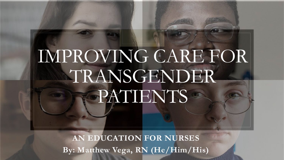# IMPROVING CARE FOR TRANSGENDER PATIENTS

**AN EDUCATION FOR NURSES By: Matthew Vega, RN (He/Him/His)**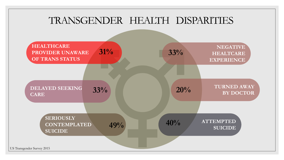#### TRANSGENDER HEALTH DISPARITIES

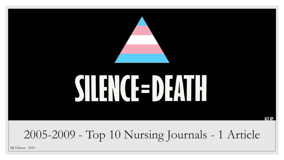

MJ Eliason - 2010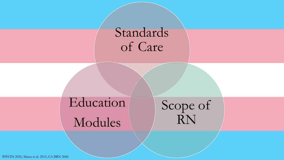### Standards of Care

Education Modules

Scope of RN

WPATH 2020, Matza et al. 2015, CA BRN 2006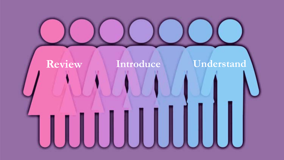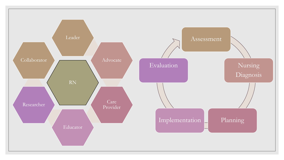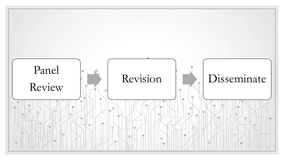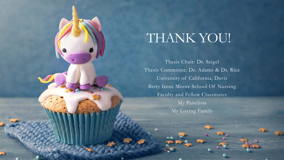## THANK YOU!

Thesis Chair: Dr. Seigel Thesis Committee: Dr. Adams & Dr. Rice University of California, Davis Betty Irene Moore School Of Nursing Faculty and Fellow Classmates My Panelists My Loving Family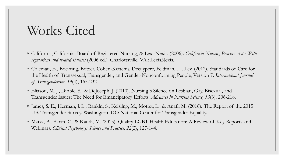#### Works Cited

- California, California. Board of Registered Nursing, & LexisNexis. (2006). *California Nursing Practice Act : With regulations and related statutes* (2006 ed.). Charlottsville, VA.: LexisNexis.
- Coleman, E., Bockting, Botzer, Cohen-Kettenis, Decuypere, Feldman, . . . Lev. (2012). Standards of Care for the Health of Transsexual, Transgender, and Gender-Nonconforming People, Version 7. *International Journal of Transgenderism, 13*(4), 165-232.
- Eliason, M. J., Dibble, S., & DeJoseph, J. (2010). Nursing' s Silence on Lesbian, Gay, Bisexual, and Transgender Issues: The Need for Emancipatory Efforts. *Advances in Nursing Science, 33*(3), 206-218.
- James, S. E., Herman, J. L., Rankin, S., Keisling, M., Mottet, L., & Anafi, M. (2016). The Report of the 2015 U.S. Transgender Survey. Washington, DC: National Center for Transgender Equality.
- Matza, A., Sloan, C., & Kauth, M. (2015). Quality LGBT Health Education: A Review of Key Reports and Webinars. *Clinical Psychology: Science and Practice, 22*(2), 127-144.